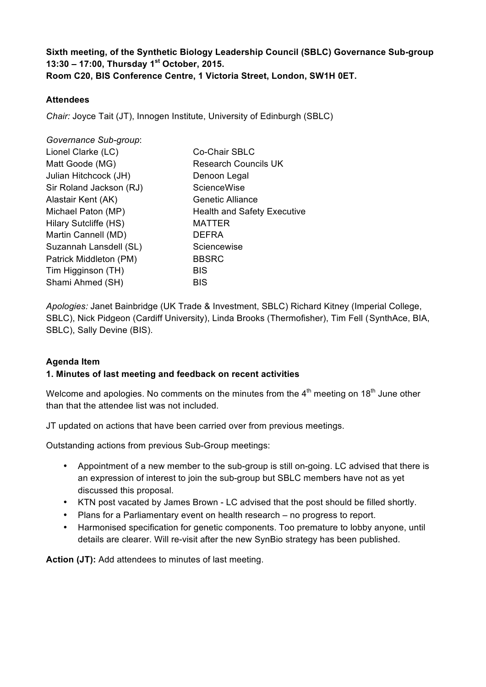## **Sixth meeting, of the Synthetic Biology Leadership Council (SBLC) Governance Sub-group 13:30 – 17:00, Thursday 1st October, 2015. Room C20, BIS Conference Centre, 1 Victoria Street, London, SW1H 0ET.**

#### **Attendees**

*Chair:* Joyce Tait (JT), Innogen Institute, University of Edinburgh (SBLC)

| Governance Sub-group:   |                                    |
|-------------------------|------------------------------------|
| Lionel Clarke (LC)      | Co-Chair SBLC                      |
| Matt Goode (MG)         | <b>Research Councils UK</b>        |
| Julian Hitchcock (JH)   | Denoon Legal                       |
| Sir Roland Jackson (RJ) | ScienceWise                        |
| Alastair Kent (AK)      | Genetic Alliance                   |
| Michael Paton (MP)      | <b>Health and Safety Executive</b> |
| Hilary Sutcliffe (HS)   | <b>MATTER</b>                      |
| Martin Cannell (MD)     | <b>DEFRA</b>                       |
| Suzannah Lansdell (SL)  | Sciencewise                        |
| Patrick Middleton (PM)  | <b>BBSRC</b>                       |
| Tim Higginson (TH)      | <b>BIS</b>                         |
| Shami Ahmed (SH)        | <b>BIS</b>                         |

*Apologies:* Janet Bainbridge (UK Trade & Investment, SBLC) Richard Kitney (Imperial College, SBLC), Nick Pidgeon (Cardiff University), Linda Brooks (Thermofisher), Tim Fell (SynthAce, BIA, SBLC), Sally Devine (BIS).

#### **Agenda Item**

#### **1. Minutes of last meeting and feedback on recent activities**

Welcome and apologies. No comments on the minutes from the  $4<sup>th</sup>$  meeting on  $18<sup>th</sup>$  June other than that the attendee list was not included.

JT updated on actions that have been carried over from previous meetings.

Outstanding actions from previous Sub-Group meetings:

- Appointment of a new member to the sub-group is still on-going. LC advised that there is an expression of interest to join the sub-group but SBLC members have not as yet discussed this proposal.
- KTN post vacated by James Brown LC advised that the post should be filled shortly.
- Plans for a Parliamentary event on health research no progress to report.
- Harmonised specification for genetic components. Too premature to lobby anyone, until details are clearer. Will re-visit after the new SynBio strategy has been published.

**Action (JT):** Add attendees to minutes of last meeting.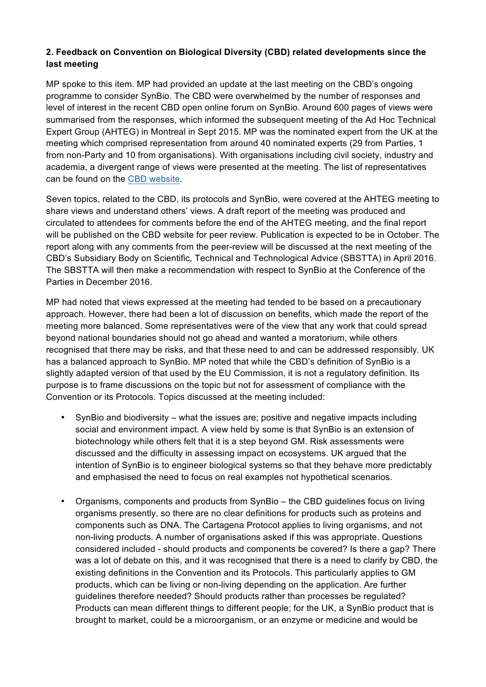## **2. Feedback on Convention on Biological Diversity (CBD) related developments since the last meeting**

MP spoke to this item. MP had provided an update at the last meeting on the CBD's ongoing programme to consider SynBio. The CBD were overwhelmed by the number of responses and level of interest in the recent CBD open online forum on SynBio. Around 600 pages of views were summarised from the responses, which informed the subsequent meeting of the Ad Hoc Technical Expert Group (AHTEG) in Montreal in Sept 2015. MP was the nominated expert from the UK at the meeting which comprised representation from around 40 nominated experts (29 from Parties, 1 from non-Party and 10 from organisations). With organisations including civil society, industry and academia, a divergent range of views were presented at the meeting. The list of representatives can be found on the CBD website.

Seven topics, related to the CBD, its protocols and SynBio, were covered at the AHTEG meeting to share views and understand others' views. A draft report of the meeting was produced and circulated to attendees for comments before the end of the AHTEG meeting, and the final report will be published on the CBD website for peer review. Publication is expected to be in October. The report along with any comments from the peer-review will be discussed at the next meeting of the CBD's Subsidiary Body on Scientific, Technical and Technological Advice (SBSTTA) in April 2016. The SBSTTA will then make a recommendation with respect to SynBio at the Conference of the Parties in December 2016.

MP had noted that views expressed at the meeting had tended to be based on a precautionary approach. However, there had been a lot of discussion on benefits, which made the report of the meeting more balanced. Some representatives were of the view that any work that could spread beyond national boundaries should not go ahead and wanted a moratorium, while others recognised that there may be risks, and that these need to and can be addressed responsibly. UK has a balanced approach to SynBio. MP noted that while the CBD's definition of SynBio is a slightly adapted version of that used by the EU Commission, it is not a regulatory definition. Its purpose is to frame discussions on the topic but not for assessment of compliance with the Convention or its Protocols. Topics discussed at the meeting included:

- SynBio and biodiversity what the issues are; positive and negative impacts including social and environment impact. A view held by some is that SynBio is an extension of biotechnology while others felt that it is a step beyond GM. Risk assessments were discussed and the difficulty in assessing impact on ecosystems. UK argued that the intention of SynBio is to engineer biological systems so that they behave more predictably and emphasised the need to focus on real examples not hypothetical scenarios.
- Organisms, components and products from SynBio the CBD guidelines focus on living organisms presently, so there are no clear definitions for products such as proteins and components such as DNA. The Cartagena Protocol applies to living organisms, and not non-living products. A number of organisations asked if this was appropriate. Questions considered included - should products and components be covered? Is there a gap? There was a lot of debate on this, and it was recognised that there is a need to clarify by CBD, the existing definitions in the Convention and its Protocols. This particularly applies to GM products, which can be living or non-living depending on the application. Are further guidelines therefore needed? Should products rather than processes be regulated? Products can mean different things to different people; for the UK, a SynBio product that is brought to market, could be a microorganism, or an enzyme or medicine and would be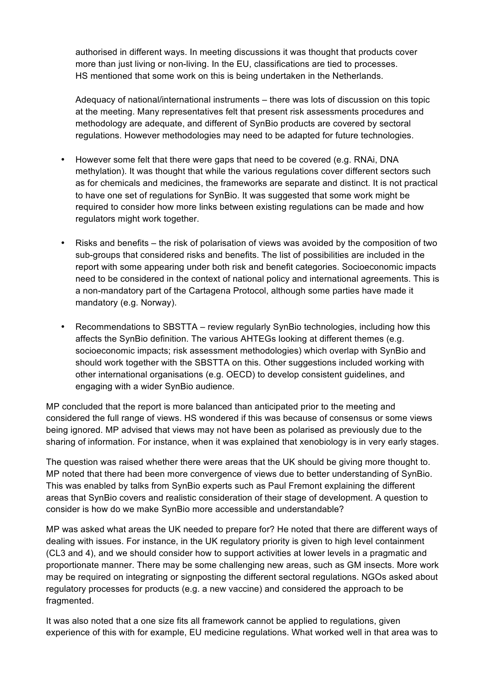authorised in different ways. In meeting discussions it was thought that products cover more than just living or non-living. In the EU, classifications are tied to processes. HS mentioned that some work on this is being undertaken in the Netherlands.

Adequacy of national/international instruments – there was lots of discussion on this topic at the meeting. Many representatives felt that present risk assessments procedures and methodology are adequate, and different of SynBio products are covered by sectoral regulations. However methodologies may need to be adapted for future technologies.

- However some felt that there were gaps that need to be covered (e.g. RNAi, DNA methylation). It was thought that while the various regulations cover different sectors such as for chemicals and medicines, the frameworks are separate and distinct. It is not practical to have one set of regulations for SynBio. It was suggested that some work might be required to consider how more links between existing regulations can be made and how regulators might work together.
- Risks and benefits the risk of polarisation of views was avoided by the composition of two sub-groups that considered risks and benefits. The list of possibilities are included in the report with some appearing under both risk and benefit categories. Socioeconomic impacts need to be considered in the context of national policy and international agreements. This is a non-mandatory part of the Cartagena Protocol, although some parties have made it mandatory (e.g. Norway).
- Recommendations to SBSTTA review regularly SynBio technologies, including how this affects the SynBio definition. The various AHTEGs looking at different themes (e.g. socioeconomic impacts; risk assessment methodologies) which overlap with SynBio and should work together with the SBSTTA on this. Other suggestions included working with other international organisations (e.g. OECD) to develop consistent guidelines, and engaging with a wider SynBio audience.

MP concluded that the report is more balanced than anticipated prior to the meeting and considered the full range of views. HS wondered if this was because of consensus or some views being ignored. MP advised that views may not have been as polarised as previously due to the sharing of information. For instance, when it was explained that xenobiology is in very early stages.

The question was raised whether there were areas that the UK should be giving more thought to. MP noted that there had been more convergence of views due to better understanding of SynBio. This was enabled by talks from SynBio experts such as Paul Fremont explaining the different areas that SynBio covers and realistic consideration of their stage of development. A question to consider is how do we make SynBio more accessible and understandable?

MP was asked what areas the UK needed to prepare for? He noted that there are different ways of dealing with issues. For instance, in the UK regulatory priority is given to high level containment (CL3 and 4), and we should consider how to support activities at lower levels in a pragmatic and proportionate manner. There may be some challenging new areas, such as GM insects. More work may be required on integrating or signposting the different sectoral regulations. NGOs asked about regulatory processes for products (e.g. a new vaccine) and considered the approach to be fragmented.

It was also noted that a one size fits all framework cannot be applied to regulations, given experience of this with for example, EU medicine regulations. What worked well in that area was to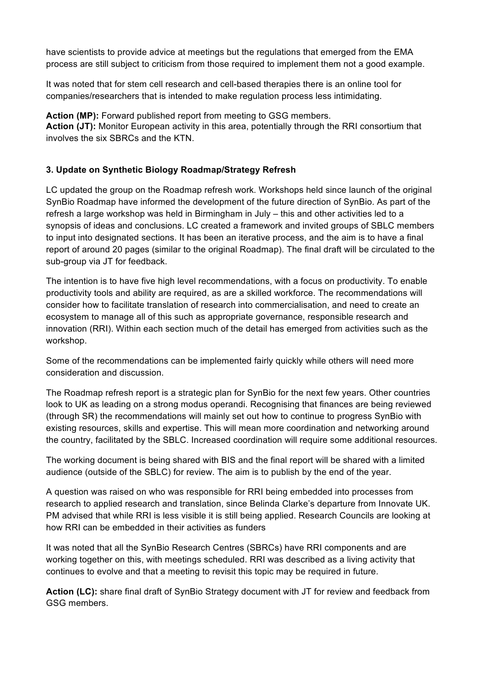have scientists to provide advice at meetings but the regulations that emerged from the EMA process are still subject to criticism from those required to implement them not a good example.

It was noted that for stem cell research and cell-based therapies there is an online tool for companies/researchers that is intended to make regulation process less intimidating.

Action (MP): Forward published report from meeting to GSG members. **Action (JT):** Monitor European activity in this area, potentially through the RRI consortium that involves the six SBRCs and the KTN.

### **3. Update on Synthetic Biology Roadmap/Strategy Refresh**

LC updated the group on the Roadmap refresh work. Workshops held since launch of the original SynBio Roadmap have informed the development of the future direction of SynBio. As part of the refresh a large workshop was held in Birmingham in July – this and other activities led to a synopsis of ideas and conclusions. LC created a framework and invited groups of SBLC members to input into designated sections. It has been an iterative process, and the aim is to have a final report of around 20 pages (similar to the original Roadmap). The final draft will be circulated to the sub-group via JT for feedback.

The intention is to have five high level recommendations, with a focus on productivity. To enable productivity tools and ability are required, as are a skilled workforce. The recommendations will consider how to facilitate translation of research into commercialisation, and need to create an ecosystem to manage all of this such as appropriate governance, responsible research and innovation (RRI). Within each section much of the detail has emerged from activities such as the workshop.

Some of the recommendations can be implemented fairly quickly while others will need more consideration and discussion.

The Roadmap refresh report is a strategic plan for SynBio for the next few years. Other countries look to UK as leading on a strong modus operandi. Recognising that finances are being reviewed (through SR) the recommendations will mainly set out how to continue to progress SynBio with existing resources, skills and expertise. This will mean more coordination and networking around the country, facilitated by the SBLC. Increased coordination will require some additional resources.

The working document is being shared with BIS and the final report will be shared with a limited audience (outside of the SBLC) for review. The aim is to publish by the end of the year.

A question was raised on who was responsible for RRI being embedded into processes from research to applied research and translation, since Belinda Clarke's departure from Innovate UK. PM advised that while RRI is less visible it is still being applied. Research Councils are looking at how RRI can be embedded in their activities as funders

It was noted that all the SynBio Research Centres (SBRCs) have RRI components and are working together on this, with meetings scheduled. RRI was described as a living activity that continues to evolve and that a meeting to revisit this topic may be required in future.

**Action (LC):** share final draft of SynBio Strategy document with JT for review and feedback from GSG members.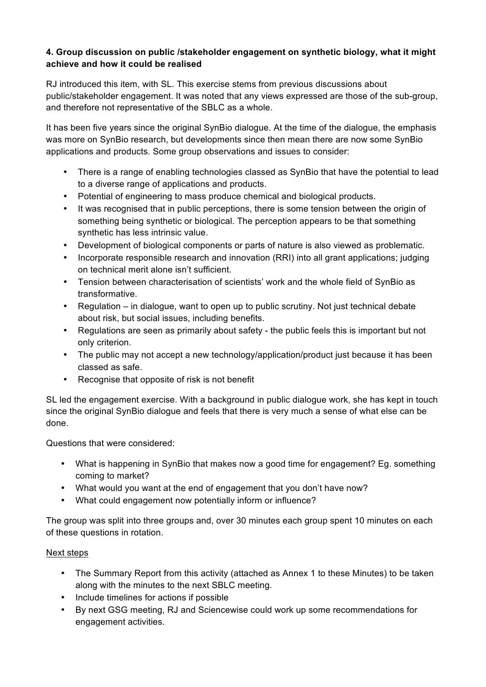## **4. Group discussion on public /stakeholder engagement on synthetic biology, what it might achieve and how it could be realised**

RJ introduced this item, with SL. This exercise stems from previous discussions about public/stakeholder engagement. It was noted that any views expressed are those of the sub-group, and therefore not representative of the SBLC as a whole.

It has been five years since the original SynBio dialogue. At the time of the dialogue, the emphasis was more on SynBio research, but developments since then mean there are now some SynBio applications and products. Some group observations and issues to consider:

- There is a range of enabling technologies classed as SynBio that have the potential to lead to a diverse range of applications and products.
- Potential of engineering to mass produce chemical and biological products.
- It was recognised that in public perceptions, there is some tension between the origin of something being synthetic or biological. The perception appears to be that something synthetic has less intrinsic value.
- Development of biological components or parts of nature is also viewed as problematic.
- Incorporate responsible research and innovation (RRI) into all grant applications; judging on technical merit alone isn't sufficient.
- Tension between characterisation of scientists' work and the whole field of SynBio as transformative.
- Regulation in dialogue, want to open up to public scrutiny. Not just technical debate about risk, but social issues, including benefits.
- Regulations are seen as primarily about safety the public feels this is important but not only criterion.
- The public may not accept a new technology/application/product just because it has been classed as safe.
- Recognise that opposite of risk is not benefit

SL led the engagement exercise. With a background in public dialogue work, she has kept in touch since the original SynBio dialogue and feels that there is very much a sense of what else can be done.

Questions that were considered:

- What is happening in SynBio that makes now a good time for engagement? Eg. something coming to market?
- What would you want at the end of engagement that you don't have now?
- What could engagement now potentially inform or influence?

The group was split into three groups and, over 30 minutes each group spent 10 minutes on each of these questions in rotation.

# Next steps

- The Summary Report from this activity (attached as Annex 1 to these Minutes) to be taken along with the minutes to the next SBLC meeting.
- Include timelines for actions if possible
- By next GSG meeting, RJ and Sciencewise could work up some recommendations for engagement activities.